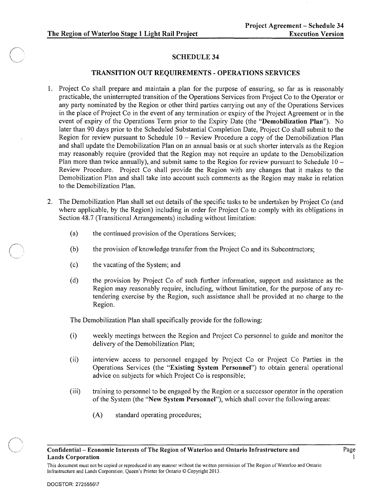## SCHEDULE 34

## TRANSITION OUT REQUIREMENTS - OPERATIONS SERVICES

- 1. Project Co shall prepare and maintain a plan for the purpose of ensuring, so far as is reasonably practicable, the uninterrupted transition of the Operations Services from Project Co to the Operator or any party nominated by the Region or other third parties carrying out any of the Operations Services in the place of Project Co in the event of any termination or expiry of the Project Agreement or in the event of expiry of the Operations Term prior to the Expiry Date (the "Demobilization Plan"). No later than 90 days prior to the Scheduled Substantial Completion Date, Project Co shall submit to the Region for review pursuant to Schedule 10 - Review Procedure a copy of the Demobilization Plan and shall update the Demobilization Plan on an annual basis or at such shorter intervals as the Region may reasonably require (provided that the Region may not require an update to the Demobilization Plan more than twice annually), and submit same to the Region for review pursuant to Schedule  $10 -$ Review Procedure. Project Co shall provide the Region with any changes that it makes to the Demobilization Plan and shall take into account such comments as the Region may make in relation to the Demobilization Plan.
- 2. The Demobilization Plan shall set out details of the specific tasks to be undertaken by Project Co (and where applicable, by the Region) including in order for Project Co to comply with its obligations in Section 48.7 (Transitional Arrangements) including without limitation:
	- (a) the continued provision of the Operations Services;
	- (b) the provision of knowledge transfer from the Project Co and its Subcontractors;
	- (c) the vacating of the System; and
	- (d) the provision by Project Co of such further information, support and assistance as the Region may reasonably require, including, without limitation, for the purpose of any retendering exercise by the Region, such assistance shall be provided at no charge to the Region.

The Demobilization Plan shall specifically provide for the following:

- (i) weekly meetings between the Region and Project Co personnel to guide and monitor the delivery of the Demobilization Plan;
- (ii) interview access to personnel engaged by Project Co or Project Co Parties in the Operations Services (the "Existing System Personnel") to obtain general operational advice on subjects for which Project Co is responsible;
- (iii) training to personnel to be engaged by the Region or a successor operator in the operation of the System (the "New System Personnel"), which shall cover the following areas:
	- (A) standard operating procedures;

 $r^{\prime}$  $\mathcal{N}_{\boldsymbol{\lambda},\boldsymbol{\omega}'}$